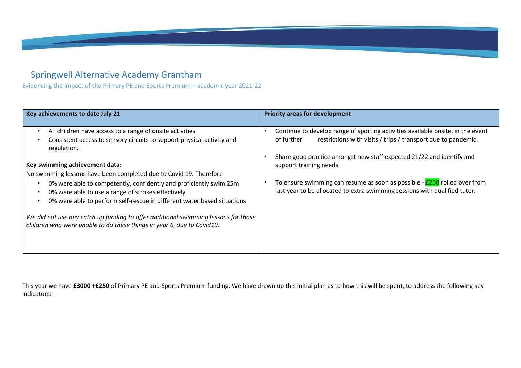## Springwell Alternative Academy Grantham

Evidencing the impact of the Primary PE and Sports Premium – academic year 2021-22

| Key achievements to date July 21                                                                                                                                                                                                           | <b>Priority areas for development</b>                                                                                                                                                                                                   |
|--------------------------------------------------------------------------------------------------------------------------------------------------------------------------------------------------------------------------------------------|-----------------------------------------------------------------------------------------------------------------------------------------------------------------------------------------------------------------------------------------|
| All children have access to a range of onsite activities<br>$\bullet$<br>Consistent access to sensory circuits to support physical activity and<br>regulation.                                                                             | Continue to develop range of sporting activities available onsite, in the event<br>restrictions with visits / trips / transport due to pandemic.<br>of further<br>Share good practice amongst new staff expected 21/22 and identify and |
| Key swimming achievement data:<br>No swimming lessons have been completed due to Covid 19. Therefore                                                                                                                                       | support training needs                                                                                                                                                                                                                  |
| 0% were able to competently, confidently and proficiently swim 25m<br>$\bullet$<br>0% were able to use a range of strokes effectively<br>$\bullet$<br>0% were able to perform self-rescue in different water based situations<br>$\bullet$ | To ensure swimming can resume as soon as possible - <b>£250</b> rolled over from<br>last year to be allocated to extra swimming sessions with qualified tutor.                                                                          |
| We did not use any catch up funding to offer additional swimming lessons for those<br>children who were unable to do these things in year 6, due to Covid19.                                                                               |                                                                                                                                                                                                                                         |

This year we have **£3000 +£250** of Primary PE and Sports Premium funding. We have drawn up this initial plan as to how this will be spent, to address the following key indicators: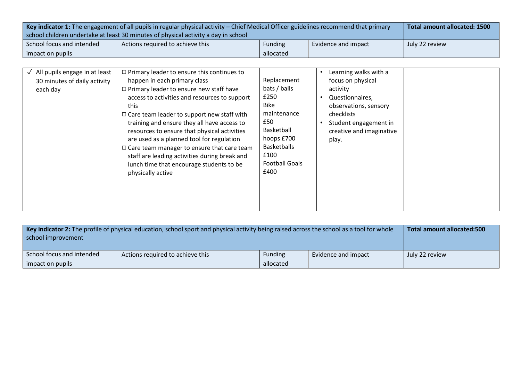| Key indicator 1: The engagement of all pupils in regular physical activity – Chief Medical Officer guidelines recommend that primary |                                  |                |                     | Total amount allocated: 1500 |
|--------------------------------------------------------------------------------------------------------------------------------------|----------------------------------|----------------|---------------------|------------------------------|
| school children undertake at least 30 minutes of physical activity a day in school                                                   |                                  |                |                     |                              |
| School focus and intended                                                                                                            | Actions required to achieve this | <b>Funding</b> | Evidence and impact | July 22 review               |
| allocated<br>impact on pupils                                                                                                        |                                  |                |                     |                              |

| $\sqrt{\phantom{a}}$ All pupils engage in at least<br>30 minutes of daily activity<br>each day | $\Box$ Primary leader to ensure this continues to<br>happen in each primary class<br>$\Box$ Primary leader to ensure new staff have<br>access to activities and resources to support<br>this<br>$\Box$ Care team leader to support new staff with<br>training and ensure they all have access to<br>resources to ensure that physical activities<br>are used as a planned tool for regulation<br>$\Box$ Care team manager to ensure that care team<br>staff are leading activities during break and<br>lunch time that encourage students to be<br>physically active | Replacement<br>bats / balls<br>£250<br>Bike<br>maintenance<br>£50<br>Basketball<br>hoops £700<br><b>Basketballs</b><br>£100<br><b>Football Goals</b><br>£400 | Learning walks with a<br>focus on physical<br>activity<br>Questionnaires.<br>observations, sensory<br><b>checklists</b><br>Student engagement in<br>creative and imaginative<br>play. |
|------------------------------------------------------------------------------------------------|----------------------------------------------------------------------------------------------------------------------------------------------------------------------------------------------------------------------------------------------------------------------------------------------------------------------------------------------------------------------------------------------------------------------------------------------------------------------------------------------------------------------------------------------------------------------|--------------------------------------------------------------------------------------------------------------------------------------------------------------|---------------------------------------------------------------------------------------------------------------------------------------------------------------------------------------|
|------------------------------------------------------------------------------------------------|----------------------------------------------------------------------------------------------------------------------------------------------------------------------------------------------------------------------------------------------------------------------------------------------------------------------------------------------------------------------------------------------------------------------------------------------------------------------------------------------------------------------------------------------------------------------|--------------------------------------------------------------------------------------------------------------------------------------------------------------|---------------------------------------------------------------------------------------------------------------------------------------------------------------------------------------|

| Key indicator 2: The profile of physical education, school sport and physical activity being raised across the school as a tool for whole<br>school improvement |                                  |                             | Total amount allocated:500 |                |
|-----------------------------------------------------------------------------------------------------------------------------------------------------------------|----------------------------------|-----------------------------|----------------------------|----------------|
| School focus and intended<br>impact on pupils                                                                                                                   | Actions required to achieve this | <b>Funding</b><br>allocated | Evidence and impact        | Uuly 22 review |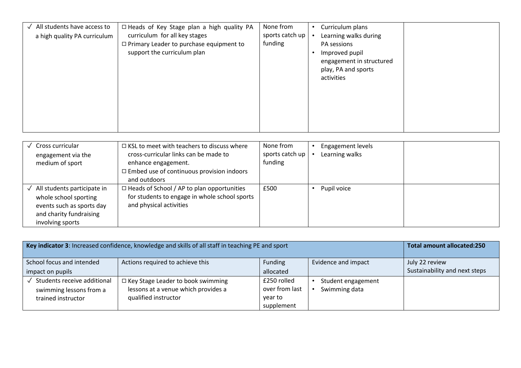| All students have access to<br>✓<br>a high quality PA curriculum | None from<br>□ Heads of Key Stage plan a high quality PA<br>sports catch up<br>curriculum for all key stages<br>funding<br>$\Box$ Primary Leader to purchase equipment to<br>support the curriculum plan | Curriculum plans<br>٠<br>Learning walks during<br>PA sessions<br>Improved pupil<br>engagement in structured<br>play, PA and sports<br>activities |
|------------------------------------------------------------------|----------------------------------------------------------------------------------------------------------------------------------------------------------------------------------------------------------|--------------------------------------------------------------------------------------------------------------------------------------------------|
|------------------------------------------------------------------|----------------------------------------------------------------------------------------------------------------------------------------------------------------------------------------------------------|--------------------------------------------------------------------------------------------------------------------------------------------------|

| Cross curricular<br>engagement via the<br>medium of sport                                                                        | $\Box$ KSL to meet with teachers to discuss where<br>cross-curricular links can be made to<br>enhance engagement.<br>$\Box$ Embed use of continuous provision indoors<br>and outdoors | None from<br>sports catch up<br>funding | Engagement levels<br>Learning walks |  |
|----------------------------------------------------------------------------------------------------------------------------------|---------------------------------------------------------------------------------------------------------------------------------------------------------------------------------------|-----------------------------------------|-------------------------------------|--|
| All students participate in<br>whole school sporting<br>events such as sports day<br>and charity fundraising<br>involving sports | $\Box$ Heads of School / AP to plan opportunities<br>for students to engage in whole school sports<br>and physical activities                                                         | £500                                    | Pupil voice                         |  |

| Key indicator 3: Increased confidence, knowledge and skills of all staff in teaching PE and sport |                                          |                | <b>Total amount allocated:250</b> |                               |
|---------------------------------------------------------------------------------------------------|------------------------------------------|----------------|-----------------------------------|-------------------------------|
| School focus and intended                                                                         | Actions required to achieve this         | Funding        | Evidence and impact               | July 22 review                |
| impact on pupils                                                                                  |                                          | allocated      |                                   | Sustainability and next steps |
| Students receive additional                                                                       | $\Box$ Key Stage Leader to book swimming | £250 rolled    | Student engagement                |                               |
| swimming lessons from a                                                                           | lessons at a venue which provides a      | over from last | Swimming data                     |                               |
| trained instructor                                                                                | qualified instructor                     | year to        |                                   |                               |
|                                                                                                   |                                          | supplement     |                                   |                               |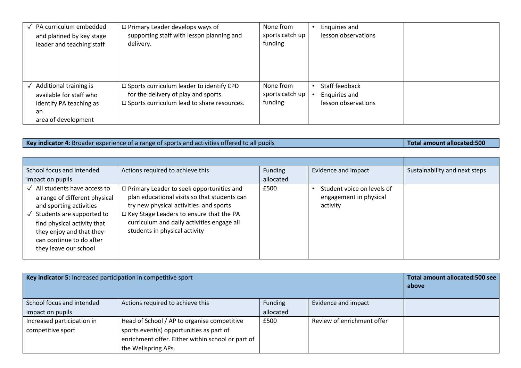| PA curriculum embedded<br>and planned by key stage<br>leader and teaching staff                           | $\Box$ Primary Leader develops ways of<br>supporting staff with lesson planning and<br>delivery.                                           | None from<br>sports catch up<br>funding | Enquiries and<br>lesson observations                   |
|-----------------------------------------------------------------------------------------------------------|--------------------------------------------------------------------------------------------------------------------------------------------|-----------------------------------------|--------------------------------------------------------|
| Additional training is<br>available for staff who<br>identify PA teaching as<br>an<br>area of development | □ Sports curriculum leader to identify CPD<br>for the delivery of play and sports.<br>$\square$ Sports curriculum lead to share resources. | None from<br>sports catch up<br>funding | Staff feedback<br>Enquiries and<br>lesson observations |

## **Key indicator 4**: Broader experience of a range of sports and activities offered to all pupils **Total amount allocated:500**

School focus and intended impact on pupils Actions required to achieve this **Funding** Funding allocated Evidence and impact  $\vert$  Sustainability and next steps ✓ All students have access to a range of different physical and sporting activities ✓ Students are supported to find physical activity that they enjoy and that they can continue to do after they leave our school ◻Primary Leader to seek opportunities and plan educational visits so that students can try new physical activities and sports ◻Key Stage Leaders to ensure that the PA curriculum and daily activities engage all students in physical activity £500 • Student voice on levels of engagement in physical activity

| Key indicator 5: Increased participation in competitive sport |                                                   |           |                            | Total amount allocated:500 see<br>above |
|---------------------------------------------------------------|---------------------------------------------------|-----------|----------------------------|-----------------------------------------|
| School focus and intended                                     | Actions required to achieve this                  | Funding   | Evidence and impact        |                                         |
| impact on pupils                                              |                                                   | allocated |                            |                                         |
| Increased participation in                                    | Head of School / AP to organise competitive       | £500      | Review of enrichment offer |                                         |
| competitive sport                                             | sports event(s) opportunities as part of          |           |                            |                                         |
|                                                               | enrichment offer. Either within school or part of |           |                            |                                         |
|                                                               | the Wellspring APs.                               |           |                            |                                         |